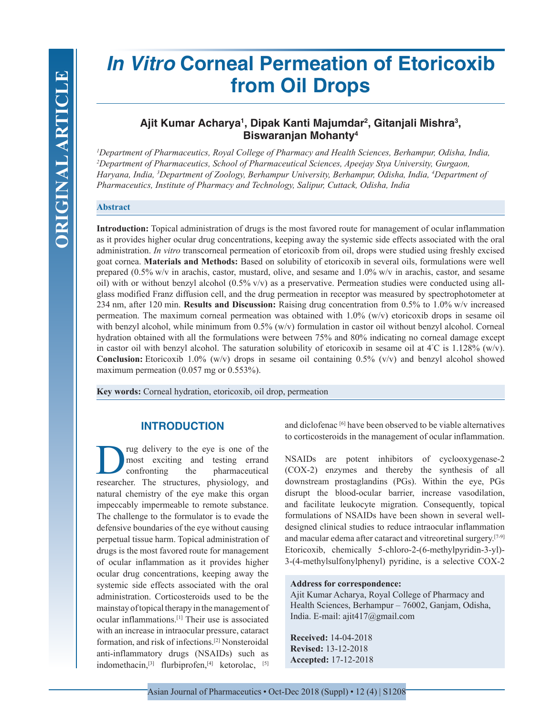# *In Vitro* **Corneal Permeation of Etoricoxib from Oil Drops**

# Ajit Kumar Acharya<sup>ı</sup>, Dipak Kanti Majumdar<sup>2</sup>, Gitanjali Mishra<sup>3</sup>, **Biswaranjan Mohanty4**

*1 Department of Pharmaceutics, Royal College of Pharmacy and Health Sciences, Berhampur, Odisha, India, 2 Department of Pharmaceutics, School of Pharmaceutical Sciences, Apeejay Stya University, Gurgaon, Haryana, India, 3 Department of Zoology, Berhampur University, Berhampur, Odisha, India, 4 Department of  Pharmaceutics, Institute of Pharmacy and Technology, Salipur, Cuttack, Odisha, India*

## **Abstract**

**Introduction:** Topical administration of drugs is the most favored route for management of ocular inflammation as it provides higher ocular drug concentrations, keeping away the systemic side effects associated with the oral administration. *In vitro* transcorneal permeation of etoricoxib from oil, drops were studied using freshly excised goat cornea. **Materials and Methods:** Based on solubility of etoricoxib in several oils, formulations were well prepared (0.5% w/v in arachis, castor, mustard, olive, and sesame and 1.0% w/v in arachis, castor, and sesame oil) with or without benzyl alcohol (0.5% v/v) as a preservative. Permeation studies were conducted using allglass modified Franz diffusion cell, and the drug permeation in receptor was measured by spectrophotometer at 234 nm, after 120 min. **Results and Discussion:** Raising drug concentration from 0.5% to 1.0% w/v increased permeation. The maximum corneal permeation was obtained with  $1.0\%$  (w/v) etoricoxib drops in sesame oil with benzyl alcohol, while minimum from  $0.5\%$  (w/v) formulation in castor oil without benzyl alcohol. Corneal hydration obtained with all the formulations were between 75% and 80% indicating no corneal damage except in castor oil with benzyl alcohol. The saturation solubility of etoricoxib in sesame oil at  $4^{\circ}$ C is 1.128% (w/v). **Conclusion:** Etoricoxib 1.0% (w/v) drops in sesame oil containing 0.5% (v/v) and benzyl alcohol showed maximum permeation (0.057 mg or 0.553%).

**Key words:** Corneal hydration, etoricoxib, oil drop, permeation

# **INTRODUCTION**

rug delivery to the eye is one of the<br>most exciting and testing errand<br>confronting the pharmaceutical most exciting and testing errand pharmaceutical researcher. The structures, physiology, and natural chemistry of the eye make this organ impeccably impermeable to remote substance. The challenge to the formulator is to evade the defensive boundaries of the eye without causing perpetual tissue harm. Topical administration of drugs is the most favored route for management of ocular inflammation as it provides higher ocular drug concentrations, keeping away the systemic side effects associated with the oral administration. Corticosteroids used to be the mainstay of topical therapy in the management of ocular inflammations.[1] Their use is associated with an increase in intraocular pressure, cataract formation, and risk of infections.[2] Nonsteroidal anti-inflammatory drugs (NSAIDs) such as indomethacin,<sup>[3]</sup> flurbiprofen,<sup>[4]</sup> ketorolac, <sup>[5]</sup>

and diclofenac [6] have been observed to be viable alternatives to corticosteroids in the management of ocular inflammation.

NSAIDs are potent inhibitors of cyclooxygenase-2 (COX-2) enzymes and thereby the synthesis of all downstream prostaglandins (PGs). Within the eye, PGs disrupt the blood-ocular barrier, increase vasodilation, and facilitate leukocyte migration. Consequently, topical formulations of NSAIDs have been shown in several welldesigned clinical studies to reduce intraocular inflammation and macular edema after cataract and vitreoretinal surgery.[7-9] Etoricoxib, chemically 5-chloro-2-(6-methylpyridin-3-yl)- 3-(4-methylsulfonylphenyl) pyridine, is a selective COX-2

#### **Address for correspondence:**

Ajit Kumar Acharya, Royal College of Pharmacy and Health Sciences, Berhampur – 76002, Ganjam, Odisha, India. E-mail: ajit417@gmail.com

**Received:** 14-04-2018 **Revised:** 13-12-2018 **Accepted:** 17-12-2018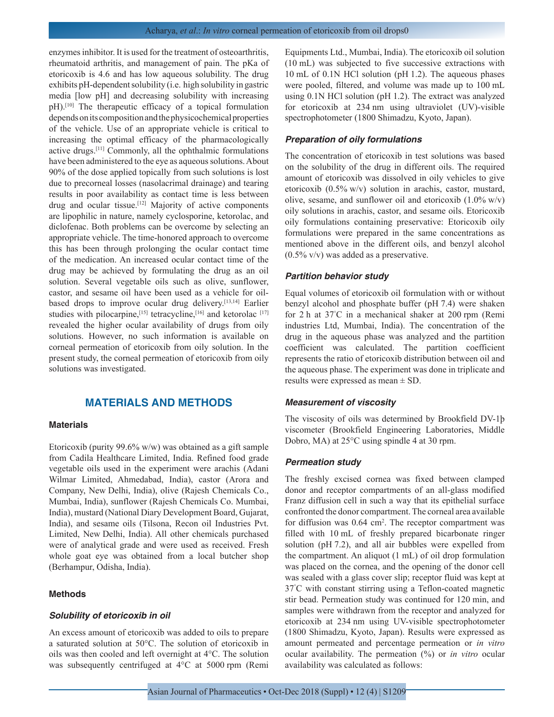enzymes inhibitor. It is used for the treatment of osteoarthritis, rheumatoid arthritis, and management of pain. The pKa of etoricoxib is 4.6 and has low aqueous solubility. The drug exhibits pH-dependent solubility (i.e. high solubility in gastric media [low pH] and decreasing solubility with increasing pH).[10] The therapeutic efficacy of a topical formulation depends on its composition and the physicochemical properties of the vehicle. Use of an appropriate vehicle is critical to increasing the optimal efficacy of the pharmacologically active drugs.[11] Commonly, all the ophthalmic formulations have been administered to the eye as aqueous solutions. About 90% of the dose applied topically from such solutions is lost due to precorneal losses (nasolacrimal drainage) and tearing results in poor availability as contact time is less between drug and ocular tissue.<sup>[12]</sup> Majority of active components are lipophilic in nature, namely cyclosporine, ketorolac, and diclofenac. Both problems can be overcome by selecting an appropriate vehicle. The time-honored approach to overcome this has been through prolonging the ocular contact time of the medication. An increased ocular contact time of the drug may be achieved by formulating the drug as an oil solution. Several vegetable oils such as olive, sunflower, castor, and sesame oil have been used as a vehicle for oilbased drops to improve ocular drug delivery.[13,14] Earlier studies with pilocarpine,<sup>[15]</sup> tetracycline,<sup>[16]</sup> and ketorolac<sup>[17]</sup> revealed the higher ocular availability of drugs from oily solutions. However, no such information is available on corneal permeation of etoricoxib from oily solution. In the present study, the corneal permeation of etoricoxib from oily solutions was investigated.

# **MATERIALS AND METHODS**

#### **Materials**

Etoricoxib (purity 99.6% w/w) was obtained as a gift sample from Cadila Healthcare Limited, India. Refined food grade vegetable oils used in the experiment were arachis (Adani Wilmar Limited, Ahmedabad, India), castor (Arora and Company, New Delhi, India), olive (Rajesh Chemicals Co., Mumbai, India), sunflower (Rajesh Chemicals Co. Mumbai, India), mustard (National Diary Development Board, Gujarat, India), and sesame oils (Tilsona, Recon oil Industries Pvt. Limited, New Delhi, India). All other chemicals purchased were of analytical grade and were used as received. Fresh whole goat eye was obtained from a local butcher shop (Berhampur, Odisha, India).

### **Methods**

#### *Solubility of etoricoxib in oil*

An excess amount of etoricoxib was added to oils to prepare a saturated solution at 50°C. The solution of etoricoxib in oils was then cooled and left overnight at 4°C. The solution was subsequently centrifuged at 4°C at 5000 rpm (Remi Equipments Ltd., Mumbai, India). The etoricoxib oil solution (10 mL) was subjected to five successive extractions with 10 mL of 0.1N HCl solution (pH 1.2). The aqueous phases were pooled, filtered, and volume was made up to 100 mL using 0.1N HCl solution (pH 1.2). The extract was analyzed for etoricoxib at 234 nm using ultraviolet (UV)-visible spectrophotometer (1800 Shimadzu, Kyoto, Japan).

## *Preparation of oily formulations*

The concentration of etoricoxib in test solutions was based on the solubility of the drug in different oils. The required amount of etoricoxib was dissolved in oily vehicles to give etoricoxib (0.5% w/v) solution in arachis, castor, mustard, olive, sesame, and sunflower oil and etoricoxib  $(1.0\% \text{ w/v})$ oily solutions in arachis, castor, and sesame oils. Etoricoxib oily formulations containing preservative: Etoricoxib oily formulations were prepared in the same concentrations as mentioned above in the different oils, and benzyl alcohol (0.5% v/v) was added as a preservative.

#### *Partition behavior study*

Equal volumes of etoricoxib oil formulation with or without benzyl alcohol and phosphate buffer (pH 7.4) were shaken for 2 h at 37° C in a mechanical shaker at 200 rpm (Remi industries Ltd, Mumbai, India). The concentration of the drug in the aqueous phase was analyzed and the partition coefficient was calculated. The partition coefficient represents the ratio of etoricoxib distribution between oil and the aqueous phase. The experiment was done in triplicate and results were expressed as mean ± SD.

## *Measurement of viscosity*

The viscosity of oils was determined by Brookfield DV-1þ viscometer (Brookfield Engineering Laboratories, Middle Dobro, MA) at 25°C using spindle 4 at 30 rpm.

#### *Permeation study*

The freshly excised cornea was fixed between clamped donor and receptor compartments of an all-glass modified Franz diffusion cell in such a way that its epithelial surface confronted the donor compartment. The corneal area available for diffusion was 0.64 cm<sup>2</sup>. The receptor compartment was filled with 10 mL of freshly prepared bicarbonate ringer solution (pH 7.2), and all air bubbles were expelled from the compartment. An aliquot (1 mL) of oil drop formulation was placed on the cornea, and the opening of the donor cell was sealed with a glass cover slip; receptor fluid was kept at 37° C with constant stirring using a Teflon-coated magnetic stir bead. Permeation study was continued for 120 min, and samples were withdrawn from the receptor and analyzed for etoricoxib at 234 nm using UV-visible spectrophotometer (1800 Shimadzu, Kyoto, Japan). Results were expressed as amount permeated and percentage permeation or *in vitro* ocular availability. The permeation (%) or *in vitro* ocular availability was calculated as follows: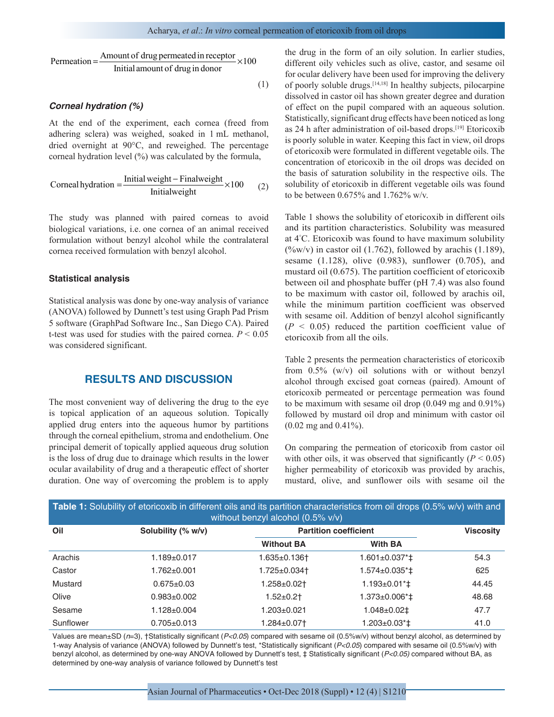Permeation = 
$$
\frac{\text{Amount of drug permeated in receptor}}{\text{Initial amount of drug in donor}} \times 100
$$

(1)

### *Corneal hydration (%)*

At the end of the experiment, each cornea (freed from adhering sclera) was weighed, soaked in 1 mL methanol, dried overnight at 90°C, and reweighed. The percentage corneal hydration level (%) was calculated by the formula,

$$
Corneal hydration = \frac{Initial weight - Finallyeight}{Initial weight} \times 100
$$
 (2)

The study was planned with paired corneas to avoid biological variations, i.e. one cornea of an animal received formulation without benzyl alcohol while the contralateral cornea received formulation with benzyl alcohol.

#### **Statistical analysis**

Statistical analysis was done by one-way analysis of variance (ANOVA) followed by Dunnett's test using Graph Pad Prism 5 software (GraphPad Software Inc., San Diego CA). Paired t-test was used for studies with the paired cornea.  $P < 0.05$ was considered significant.

# **RESULTS AND DISCUSSION**

The most convenient way of delivering the drug to the eye is topical application of an aqueous solution. Topically applied drug enters into the aqueous humor by partitions through the corneal epithelium, stroma and endothelium. One principal demerit of topically applied aqueous drug solution is the loss of drug due to drainage which results in the lower ocular availability of drug and a therapeutic effect of shorter duration. One way of overcoming the problem is to apply the drug in the form of an oily solution. In earlier studies, different oily vehicles such as olive, castor, and sesame oil for ocular delivery have been used for improving the delivery of poorly soluble drugs.[14,18] In healthy subjects, pilocarpine dissolved in castor oil has shown greater degree and duration of effect on the pupil compared with an aqueous solution. Statistically, significant drug effects have been noticed as long as 24 h after administration of oil-based drops.[19] Etoricoxib is poorly soluble in water. Keeping this fact in view, oil drops of etoricoxib were formulated in different vegetable oils. The concentration of etoricoxib in the oil drops was decided on the basis of saturation solubility in the respective oils. The solubility of etoricoxib in different vegetable oils was found to be between 0.675% and 1.762% w/v.

Table 1 shows the solubility of etoricoxib in different oils and its partition characteristics. Solubility was measured at 4° C. Etoricoxib was found to have maximum solubility  $(\frac{6}{\text{w}})(v)$  in castor oil (1.762), followed by arachis (1.189), sesame (1.128), olive (0.983), sunflower (0.705), and mustard oil (0.675). The partition coefficient of etoricoxib between oil and phosphate buffer (pH 7.4) was also found to be maximum with castor oil, followed by arachis oil, while the minimum partition coefficient was observed with sesame oil. Addition of benzyl alcohol significantly  $(P < 0.05)$  reduced the partition coefficient value of etoricoxib from all the oils.

Table 2 presents the permeation characteristics of etoricoxib from 0.5% (w/v) oil solutions with or without benzyl alcohol through excised goat corneas (paired). Amount of etoricoxib permeated or percentage permeation was found to be maximum with sesame oil drop (0.049 mg and 0.91%) followed by mustard oil drop and minimum with castor oil (0.02 mg and 0.41%).

On comparing the permeation of etoricoxib from castor oil with other oils, it was observed that significantly  $(P < 0.05)$ higher permeability of etoricoxib was provided by arachis, mustard, olive, and sunflower oils with sesame oil the

| <b>Table 1:</b> Solubility of etoricoxib in different oils and its partition characteristics from oil drops (0.5% w/v) with and<br>without benzyl alcohol $(0.5\%$ v/v) |                    |                   |                                           |                  |  |  |  |
|-------------------------------------------------------------------------------------------------------------------------------------------------------------------------|--------------------|-------------------|-------------------------------------------|------------------|--|--|--|
| Oil                                                                                                                                                                     | Solubility (% w/v) |                   | <b>Partition coefficient</b>              | <b>Viscosity</b> |  |  |  |
|                                                                                                                                                                         |                    | <b>Without BA</b> | <b>With BA</b>                            |                  |  |  |  |
| Arachis                                                                                                                                                                 | $1.189 + 0.017$    | 1.635±0.136†      | $1.601 \pm 0.037$ <sup>*</sup> $\ddagger$ | 54.3             |  |  |  |
| Castor                                                                                                                                                                  | $1.762 \pm 0.001$  | 1.725±0.034†      | $1.574 \pm 0.035$ <sup>*</sup> $\ddagger$ | 625              |  |  |  |
| Mustard                                                                                                                                                                 | $0.675 \pm 0.03$   | 1.258±0.02†       | $1.193 \pm 0.01$ <sup>*</sup> $\pm$       | 44.45            |  |  |  |
| Olive                                                                                                                                                                   | $0.983 \pm 0.002$  | $1.52 \pm 0.2$ †  | $1.373 \pm 0.006$ <sup>*</sup> $\ddagger$ | 48.68            |  |  |  |
| Sesame                                                                                                                                                                  | $1.128 \pm 0.004$  | 1.203±0.021       | $1.048 \pm 0.02 \pm$                      | 47.7             |  |  |  |
| Sunflower                                                                                                                                                               | $0.705 \pm 0.013$  | 1.284±0.07†       | $1.203 \pm 0.03$ <sup>*</sup>             | 41.0             |  |  |  |

Values are mean±SD (*n*=3), †Statistically significant (*P<0.05*) compared with sesame oil (0.5%w/v) without benzyl alcohol, as determined by 1‑way Analysis of variance (ANOVA) followed by Dunnett's test, \*Statistically significant (*P<0.05*) compared with sesame oil (0.5%w/v) with benzyl alcohol, as determined by one‑way ANOVA followed by Dunnett's test, ‡ Statistically significant (*P<0.05)* compared without BA, as determined by one‑way analysis of variance followed by Dunnett's test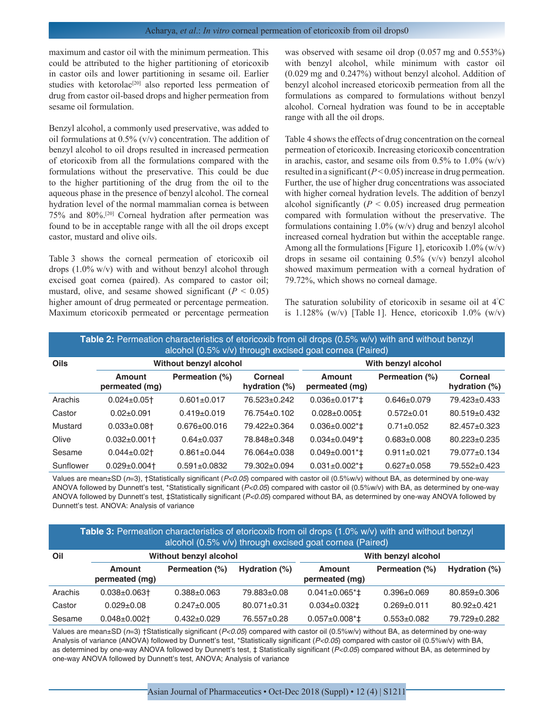maximum and castor oil with the minimum permeation. This could be attributed to the higher partitioning of etoricoxib in castor oils and lower partitioning in sesame oil. Earlier studies with ketorolac<sup>[20]</sup> also reported less permeation of drug from castor oil-based drops and higher permeation from sesame oil formulation.

Benzyl alcohol, a commonly used preservative, was added to oil formulations at 0.5% (v/v) concentration. The addition of benzyl alcohol to oil drops resulted in increased permeation of etoricoxib from all the formulations compared with the formulations without the preservative. This could be due to the higher partitioning of the drug from the oil to the aqueous phase in the presence of benzyl alcohol. The corneal hydration level of the normal mammalian cornea is between 75% and 80%.[20] Corneal hydration after permeation was found to be in acceptable range with all the oil drops except castor, mustard and olive oils.

Table 3 shows the corneal permeation of etoricoxib oil drops (1.0% w/v) with and without benzyl alcohol through excised goat cornea (paired). As compared to castor oil; mustard, olive, and sesame showed significant  $(P < 0.05)$ higher amount of drug permeated or percentage permeation. Maximum etoricoxib permeated or percentage permeation was observed with sesame oil drop (0.057 mg and 0.553%) with benzyl alcohol, while minimum with castor oil (0.029 mg and 0.247%) without benzyl alcohol. Addition of benzyl alcohol increased etoricoxib permeation from all the formulations as compared to formulations without benzyl alcohol. Corneal hydration was found to be in acceptable range with all the oil drops.

Table 4 shows the effects of drug concentration on the corneal permeation of etoricoxib. Increasing etoricoxib concentration in arachis, castor, and sesame oils from  $0.5\%$  to  $1.0\%$  (w/v) resulted in a significant  $(P<0.05)$  increase in drug permeation. Further, the use of higher drug concentrations was associated with higher corneal hydration levels. The addition of benzyl alcohol significantly  $(P < 0.05)$  increased drug permeation compared with formulation without the preservative. The formulations containing 1.0% (w/v) drug and benzyl alcohol increased corneal hydration but within the acceptable range. Among all the formulations [Figure 1], etoricoxib  $1.0\%$  (w/v) drops in sesame oil containing 0.5% (v/v) benzyl alcohol showed maximum permeation with a corneal hydration of 79.72%, which shows no corneal damage.

The saturation solubility of etoricoxib in sesame oil at 4° C is  $1.128\%$  (w/v) [Table 1]. Hence, etoricoxib  $1.0\%$  (w/v)

| Table 2: Permeation characteristics of etoricoxib from oil drops (0.5% w/v) with and without benzyl<br>alcohol (0.5% v/v) through excised goat cornea (Paired) |                               |                    |                             |                                |                   |                             |  |
|----------------------------------------------------------------------------------------------------------------------------------------------------------------|-------------------------------|--------------------|-----------------------------|--------------------------------|-------------------|-----------------------------|--|
| Oils                                                                                                                                                           | Without benzyl alcohol        |                    |                             | With benzyl alcohol            |                   |                             |  |
|                                                                                                                                                                | Amount<br>permeated (mg)      | Permeation (%)     | Corneal<br>hydration $(\%)$ | Amount<br>permeated (mg)       | Permeation (%)    | Corneal<br>hydration $(\%)$ |  |
| Arachis                                                                                                                                                        | $0.024 \pm 0.05$ <sup>+</sup> | $0.601 \pm 0.017$  | 76.523+0.242                | $0.036 \pm 0.017$ <sup>*</sup> | $0.646 \pm 0.079$ | 79.423 + 0.433              |  |
| Castor                                                                                                                                                         | $0.02 + 0.091$                | $0.419 \pm 0.019$  | 76.754±0.102                | $0.028 \pm 0.005$ ‡            | $0.572 \pm 0.01$  | $80.519 \pm 0.432$          |  |
| Mustard                                                                                                                                                        | $0.033 \pm 0.08$ <sup>+</sup> | 0.676+00.016       | 79.422±0.364                | $0.036 \pm 0.002 \cdot 1$      | $0.71 \pm 0.052$  | 82.457±0.323                |  |
| Olive                                                                                                                                                          | $0.032 \pm 0.001$             | $0.64 \pm 0.037$   | 78.848±0.348                | $0.034 \pm 0.049$ <sup>*</sup> | $0.683 \pm 0.008$ | $80.223 \pm 0.235$          |  |
| Sesame                                                                                                                                                         | $0.044 \pm 0.02$              | $0.861 + 0.044$    | 76.064+0.038                | $0.049 \pm 0.001$ * $\ddagger$ | $0.911 + 0.021$   | 79.077±0.134                |  |
| Sunflower                                                                                                                                                      | $0.029 \pm 0.004$             | $0.591 \pm 0.0832$ | 79.302±0.094                | $0.031 \pm 0.002$ *‡           | $0.627 \pm 0.058$ | 79.552±0.423                |  |

Values are mean±SD (n=3), †Statistically significant (P<0.05) compared with castor oil (0.5%w/v) without BA, as determined by one-way ANOVA followed by Dunnett's test, \*Statistically significant (P<0.05) compared with castor oil (0.5%w/v) with BA, as determined by one-way ANOVA followed by Dunnett's test, ‡Statistically significant (*P<0.05*) compared without BA, as determined by one‑way ANOVA followed by Dunnett's test. ANOVA: Analysis of variance

**Table 3:** Permeation characteristics of etoricoxib from oil drops (1.0% w/v) with and without benzyl alcohol (0.5% v/v) through excised goat cornea (Paired)

| Oil     | Without benzyl alcohol   |                   |                   | With benzyl alcohol                       |                   |                    |  |
|---------|--------------------------|-------------------|-------------------|-------------------------------------------|-------------------|--------------------|--|
|         | Amount<br>permeated (mg) | Permeation (%)    | Hydration (%)     | Amount<br>permeated (mg)                  | Permeation (%)    | Hydration (%)      |  |
| Arachis | $0.038 + 0.063 +$        | $0.388 + 0.063$   | 79.883±0.08       | $0.041 \pm 0.065$ <sup>*</sup>            | $0.396 \pm 0.069$ | $80.859 \pm 0.306$ |  |
| Castor  | $0.029 + 0.08$           | $0.247 \pm 0.005$ | $80.071 \pm 0.31$ | $0.034 \pm 0.032 \pm 1.032$               | $0.269 + 0.011$   | $80.92 \pm 0.421$  |  |
| Sesame  | $0.048 + 0.002$          | $0.432 \pm 0.029$ | 76.557±0.28       | $0.057 \pm 0.008$ <sup>*</sup> $\ddagger$ | $0.553 \pm 0.082$ | 79.729+0.282       |  |

Values are mean±SD (*n*=3) †Statistically significant (*P<0.05*) compared with castor oil (0.5%w/v) without BA, as determined by one‑way Analysis of variance (ANOVA) followed by Dunnett's test, \*Statistically significant (*P<0.05*) compared with castor oil (0.5%w/v) with BA, as determined by one‑way ANOVA followed by Dunnett's test, ‡ Statistically significant (*P<0.05*) compared without BA, as determined by one‑way ANOVA followed by Dunnett's test, ANOVA; Analysis of variance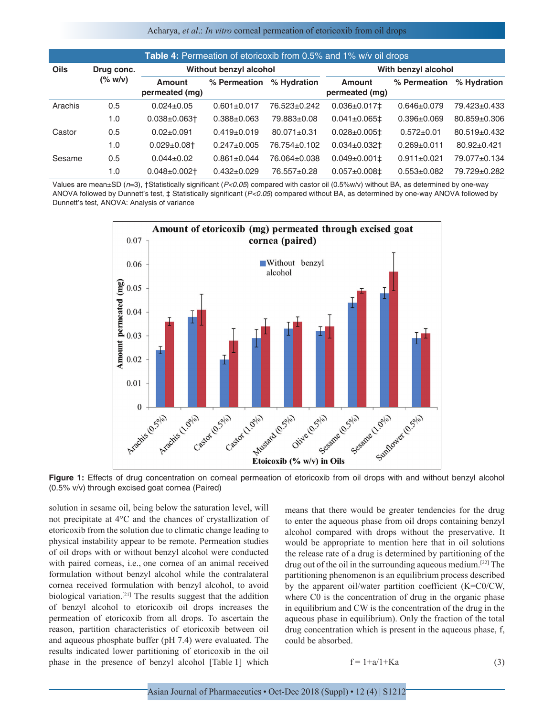#### Acharya, *et al*.: *In vitro* corneal permeation of etoricoxib from oil drops

| <b>Table 4:</b> Permeation of etoricoxib from 0.5% and 1% w/v oil drops |                                         |                                 |                   |                   |                                 |                   |                   |
|-------------------------------------------------------------------------|-----------------------------------------|---------------------------------|-------------------|-------------------|---------------------------------|-------------------|-------------------|
| <b>Oils</b>                                                             | Drug conc.<br>$(*\ 0\n 0\n 0\n 0\n 0\n$ | Without benzyl alcohol          |                   |                   | With benzyl alcohol             |                   |                   |
|                                                                         |                                         | <b>Amount</b><br>permeated (mg) | % Permeation      | % Hydration       | <b>Amount</b><br>permeated (mg) | % Permeation      | % Hydration       |
| Arachis                                                                 | 0.5                                     | $0.024 \pm 0.05$                | $0.601 \pm 0.017$ | 76.523±0.242      | $0.036 \pm 0.017 \pm 1.000$     | $0.646 \pm 0.079$ | 79.423±0.433      |
|                                                                         | 1.0                                     | $0.038 + 0.063$ <sup>+</sup>    | $0.388 \pm 0.063$ | 79.883±0.08       | $0.041 \pm 0.065 \pm$           | $0.396 \pm 0.069$ | 80.859±0.306      |
| Castor                                                                  | 0.5                                     | $0.02 \pm 0.091$                | $0.419 \pm 0.019$ | $80.071 \pm 0.31$ | $0.028 \pm 0.005 \pm 1$         | $0.572 \pm 0.01$  | 80.519±0.432      |
|                                                                         | 1.0                                     | $0.029 \pm 0.08$ <sup>+</sup>   | $0.247 \pm 0.005$ | 76.754±0.102      | $0.034 \pm 0.032 \pm 0.032$     | $0.269 + 0.011$   | $80.92 \pm 0.421$ |
| Sesame                                                                  | 0.5                                     | $0.044 \pm 0.02$                | $0.861 \pm 0.044$ | 76.064±0.038      | $0.049 \pm 0.001 \pm 1$         | $0.911 \pm 0.021$ | 79.077±0.134      |
|                                                                         | 1.0                                     | $0.048 \pm 0.002$ <sup>+</sup>  | $0.432 \pm 0.029$ | 76.557±0.28       | $0.057 \pm 0.008 \pm 0.008$     | $0.553 \pm 0.082$ | 79.729±0.282      |

Values are mean±SD (*n*=3), †Statistically significant (*P<0.05*) compared with castor oil (0.5%w/v) without BA, as determined by one‑way ANOVA followed by Dunnett's test, ‡ Statistically significant (*P<0.05*) compared without BA, as determined by one‑way ANOVA followed by Dunnett's test, ANOVA: Analysis of variance



**Figure 1:** Effects of drug concentration on corneal permeation of etoricoxib from oil drops with and without benzyl alcohol (0.5% v/v) through excised goat cornea (Paired)

solution in sesame oil, being below the saturation level, will not precipitate at 4°C and the chances of crystallization of etoricoxib from the solution due to climatic change leading to physical instability appear to be remote. Permeation studies of oil drops with or without benzyl alcohol were conducted with paired corneas, i.e., one cornea of an animal received formulation without benzyl alcohol while the contralateral cornea received formulation with benzyl alcohol, to avoid biological variation.[21] The results suggest that the addition of benzyl alcohol to etoricoxib oil drops increases the permeation of etoricoxib from all drops. To ascertain the reason, partition characteristics of etoricoxib between oil and aqueous phosphate buffer (pH 7.4) were evaluated. The results indicated lower partitioning of etoricoxib in the oil phase in the presence of benzyl alcohol [Table 1] which

means that there would be greater tendencies for the drug to enter the aqueous phase from oil drops containing benzyl alcohol compared with drops without the preservative. It would be appropriate to mention here that in oil solutions the release rate of a drug is determined by partitioning of the drug out of the oil in the surrounding aqueous medium.[22] The partitioning phenomenon is an equilibrium process described by the apparent oil/water partition coefficient (K=C0/CW, where C0 is the concentration of drug in the organic phase in equilibrium and CW is the concentration of the drug in the aqueous phase in equilibrium). Only the fraction of the total drug concentration which is present in the aqueous phase, f, could be absorbed.

$$
f = 1 + a/1 + Ka \tag{3}
$$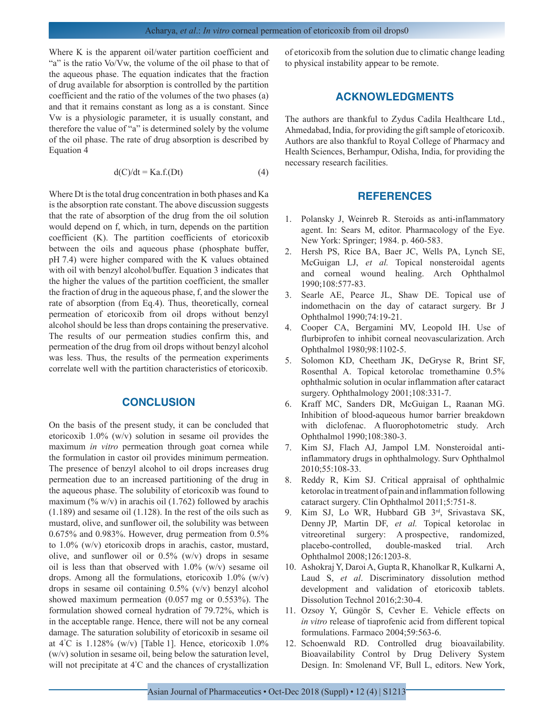Where K is the apparent oil/water partition coefficient and "a" is the ratio Vo/Vw, the volume of the oil phase to that of the aqueous phase. The equation indicates that the fraction of drug available for absorption is controlled by the partition coefficient and the ratio of the volumes of the two phases (a) and that it remains constant as long as a is constant. Since Vw is a physiologic parameter, it is usually constant, and therefore the value of "a" is determined solely by the volume of the oil phase. The rate of drug absorption is described by Equation 4

$$
d(C)/dt = Ka.f.(Dt)
$$
 (4)

Where Dt is the total drug concentration in both phases and Ka is the absorption rate constant. The above discussion suggests that the rate of absorption of the drug from the oil solution would depend on f, which, in turn, depends on the partition coefficient (K). The partition coefficients of etoricoxib between the oils and aqueous phase (phosphate buffer, pH 7.4) were higher compared with the K values obtained with oil with benzyl alcohol/buffer. Equation 3 indicates that the higher the values of the partition coefficient, the smaller the fraction of drug in the aqueous phase, f, and the slower the rate of absorption (from Eq.4). Thus, theoretically, corneal permeation of etoricoxib from oil drops without benzyl alcohol should be less than drops containing the preservative. The results of our permeation studies confirm this, and permeation of the drug from oil drops without benzyl alcohol was less. Thus, the results of the permeation experiments correlate well with the partition characteristics of etoricoxib.

# **CONCLUSION**

On the basis of the present study, it can be concluded that etoricoxib 1.0% (w/v) solution in sesame oil provides the maximum *in vitro* permeation through goat cornea while the formulation in castor oil provides minimum permeation. The presence of benzyl alcohol to oil drops increases drug permeation due to an increased partitioning of the drug in the aqueous phase. The solubility of etoricoxib was found to maximum (% w/v) in arachis oil (1.762) followed by arachis (1.189) and sesame oil (1.128). In the rest of the oils such as mustard, olive, and sunflower oil, the solubility was between 0.675% and 0.983%. However, drug permeation from 0.5% to 1.0% (w/v) etoricoxib drops in arachis, castor, mustard, olive, and sunflower oil or  $0.5\%$  (w/v) drops in sesame oil is less than that observed with 1.0% (w/v) sesame oil drops. Among all the formulations, etoricoxib  $1.0\%$  (w/v) drops in sesame oil containing 0.5% (v/v) benzyl alcohol showed maximum permeation (0.057 mg or 0.553%). The formulation showed corneal hydration of 79.72%, which is in the acceptable range. Hence, there will not be any corneal damage. The saturation solubility of etoricoxib in sesame oil at 4° C is 1.128% (w/v) [Table 1]. Hence, etoricoxib 1.0% (w/v) solution in sesame oil, being below the saturation level, will not precipitate at 4° C and the chances of crystallization of etoricoxib from the solution due to climatic change leading to physical instability appear to be remote.

## **ACKNOWLEDGMENTS**

The authors are thankful to Zydus Cadila Healthcare Ltd., Ahmedabad, India, for providing the gift sample of etoricoxib. Authors are also thankful to Royal College of Pharmacy and Health Sciences, Berhampur, Odisha, India, for providing the necessary research facilities.

# **REFERENCES**

- 1. Polansky J, Weinreb R. Steroids as anti-inflammatory agent. In: Sears M, editor. Pharmacology of the Eye. New York: Springer; 1984. p. 460-583.
- 2. Hersh PS, Rice BA, Baer JC, Wells PA, Lynch SE, McGuigan LJ, *et al.* Topical nonsteroidal agents and corneal wound healing. Arch Ophthalmol 1990;108:577-83.
- 3. Searle AE, Pearce JL, Shaw DE. Topical use of indomethacin on the day of cataract surgery. Br J Ophthalmol 1990;74:19-21.
- 4. Cooper CA, Bergamini MV, Leopold IH. Use of flurbiprofen to inhibit corneal neovascularization. Arch Ophthalmol 1980;98:1102-5.
- 5. Solomon KD, Cheetham JK, DeGryse R, Brint SF, Rosenthal A. Topical ketorolac tromethamine 0.5% ophthalmic solution in ocular inflammation after cataract surgery. Ophthalmology 2001;108:331-7.
- 6. Kraff MC, Sanders DR, McGuigan L, Raanan MG. Inhibition of blood-aqueous humor barrier breakdown with diclofenac. A fluorophotometric study. Arch Ophthalmol 1990;108:380-3.
- 7. Kim SJ, Flach AJ, Jampol LM. Nonsteroidal antiinflammatory drugs in ophthalmology. Surv Ophthalmol 2010;55:108-33.
- 8. Reddy R, Kim SJ. Critical appraisal of ophthalmic ketorolac in treatment of pain and inflammation following cataract surgery. Clin Ophthalmol 2011;5:751-8.
- 9. Kim SJ, Lo WR, Hubbard GB 3rd, Srivastava SK, Denny JP, Martin DF, *et al.* Topical ketorolac in vitreoretinal surgery: A prospective, randomized, placebo-controlled, double-masked trial. Arch Ophthalmol 2008;126:1203-8.
- 10. Ashokraj Y, Daroi A, Gupta R, Khanolkar R, Kulkarni A, Laud S, *et al*. Discriminatory dissolution method development and validation of etoricoxib tablets. Dissolution Technol 2016;2:30-4.
- 11. Ozsoy Y, Güngör S, Cevher E. Vehicle effects on *in vitro* release of tiaprofenic acid from different topical formulations. Farmaco 2004;59:563-6.
- 12. Schoenwald RD. Controlled drug bioavailability. Bioavailability Control by Drug Delivery System Design. In: Smolenand VF, Bull L, editors. New York,